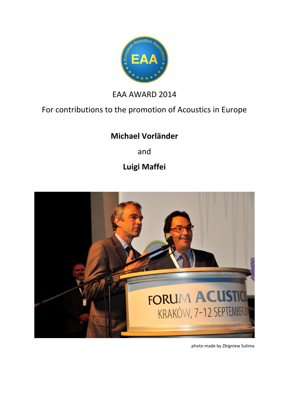

## EAA AWARD 2014

## For contributions to the promotion of Acoustics in Europe

## **Michael Vorländer**

and

**Luigi Maffei**



photo made by Zbigniew Sulima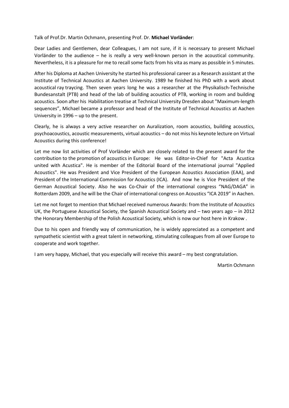Talk of Prof.Dr. Martin Ochmann, presenting Prof. Dr. **Michael Vorländer**:

Dear Ladies and Gentlemen, dear Colleagues, I am not sure, if it is necessary to present Michael Vorländer to the audience – he is really a very well-known person in the acoustical community. Nevertheless, it is a pleasure for me to recall some facts from his vita as many as possible in 5 minutes.

After his Diploma at Aachen University he started his professional career as a Research assistant at the Institute of Technical Acoustics at Aachen University. 1989 he finished his PhD with a work about acoustical ray traycing. Then seven years long he was a researcher at the Physikalisch-Technische Bundesanstalt (PTB) and head of the lab of building acoustics of PTB, working in room and building acoustics. Soon after his Habilitation treatise at Technical University Dresden about "Maximum-length sequences", Michael became a professor and head of the Institute of Technical Acoustics at Aachen University in 1996 – up to the present.

Clearly, he is always a very active researcher on Auralization, room acoustics, building acoustics, psychoacoustics, acoustic measurements, virtual acoustics – do not miss his keynote lecture on Virtual Acoustics during this conference!

Let me now list activities of Prof Vorländer which are closely related to the present award for the contribution to the promotion of acoustics in Europe: He was Editor-in-Chief for "Acta Acustica united with Acustica". He is member of the Editorial Board of the international journal "Applied Acoustics". He was President and Vice President of the European Acoustics Association (EAA), and President of the International Commission for Acoustics (ICA). And now he is Vice President of the German Acoustical Society. Also he was Co-Chair of the international congress "NAG/DAGA" in Rotterdam 2009, and he will be the Chair of international congress on Acoustics "ICA 2019" in Aachen.

Let me not forget to mention that Michael received numerous Awards: from the Institute of Acoustics UK, the Portuguese Acoustical Society, the Spanish Acoustical Society and – two years ago – in 2012 the Honorary Membership of the Polish Acoustical Society, which is now our host here in Krakow .

Due to his open and friendly way of communication, he is widely appreciated as a competent and sympathetic scientist with a great talent in networking, stimulating colleagues from all over Europe to cooperate and work together.

I am very happy, Michael, that you especially will receive this award – my best congratulation.

Martin Ochmann